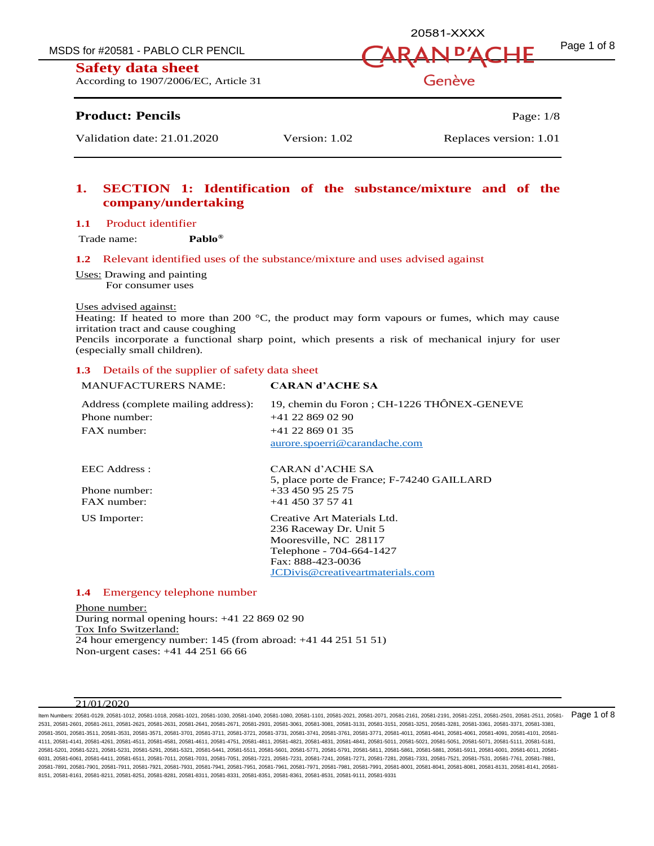MSDS for #20581 - PABLO CLR PENCIL  $\sqrt{ARAN}$   $\Gamma$ <sup>A</sup>ACHF  $^{Page 1 \text{ of } 8}$ 



According to 1907/2006/EC, Article 31

# **Product: Pencils** Page: 1/8

Validation date: 21.01.2020 Version: 1.02 Replaces version: 1.01

# **1. SECTION 1: Identification of the substance/mixture and of the company/undertaking**

#### **1.1** Product identifier

Trade name: **Pablo®**

#### **1.2** Relevant identified uses of the substance/mixture and uses advised against

Uses: Drawing and painting For consumer uses

#### Uses advised against:

Heating: If heated to more than 200  $^{\circ}$ C, the product may form vapours or fumes, which may cause irritation tract and cause coughing

Pencils incorporate a functional sharp point, which presents a risk of mechanical injury for user (especially small children).

#### **1.3** Details of the supplier of safety data sheet

| <b>MANUFACTURERS NAME:</b>          | <b>CARAN d'ACHE SA</b>                     |
|-------------------------------------|--------------------------------------------|
| Address (complete mailing address): | 19, chemin du Foron; CH-1226 THÔNEX-GENEVE |
| Phone number:                       | $+41$ 22 869 02 90                         |
| $FAX$ number:                       | $+41$ 22 869 01 35                         |
|                                     | aurore.spoerri@carandache.com              |
| EEC Address :                       | CARAN d'ACHE SA                            |
|                                     | 5, place porte de France; F-74240 GAILLARD |
| Phone number:                       | +33 450 95 25 75                           |
| $FAX$ number:                       | $+41$ 450 37 57 41                         |
| US Importer:                        | Creative Art Materials Ltd.                |
|                                     | 236 Raceway Dr. Unit 5                     |
|                                     | Mooresville, NC 28117                      |
|                                     | Telephone - 704-664-1427                   |
|                                     | Fax: 888-423-0036                          |
|                                     | JCDivis@creativeartmaterials.com           |
|                                     |                                            |

#### **1.4** Emergency telephone number

Phone number: During normal opening hours: +41 22 869 02 90 Tox Info Switzerland: 24 hour emergency number: 145 (from abroad: +41 44 251 51 51) Non-urgent cases: +41 44 251 66 66

#### 21/01/2020

ltem Numbers: 20581-0129, 20581-1012, 20581-1018, 20581-1021, 20581-1030, 20581-1040, 20581-1080, 20581-101, 20581-2021, 20581-2010, 20581-2161, 20581-2251, 20581-2251, 20581-2501, 20581-2511, 20581-2511, 20581-2791, 20581 2531, 20581-2601, 20581-2611, 20581-2621, 20581-2631, 20581-2641, 20581-2671, 20581-2931, 20581-3061, 20581-3081, 20581-3131, 20581-3151, 20581-3251, 20581-3281, 20581-3361, 20581-3371, 20581-3381, 20581-3501, 20581-3511, 20581-3531, 20581-3571, 20581-3701, 20581-3711, 20581-3721, 20581-3731, 20581-3741, 20581-3761, 20581-3771, 20581-4011, 20581-4041, 20581-4061, 20581-4091, 20581-4101, 20581- 4111, 20581-4141, 20581-4261, 20581-4511, 20581-4581, 20581-4611, 20581-4751, 20581-4811, 20581-4821, 20581-4831, 20581-4841, 20581-5011, 20581-5021, 20581-5051, 20581-5071, 20581-5111, 20581-5181, 20581-5201, 20581-5221, 20581-5231, 20581-5291, 20581-5321, 20581-5441, 20581-5511, 20581-5601, 20581-5771, 20581-5791, 20581-5811, 20581-5861, 20581-5881, 20581-5911, 20581-6001, 20581-6011, 20581- 6031, 20581-6061, 20581-6411, 20581-6511, 20581-7011, 20581-7031, 20581-7051, 20581-7221, 20581-7231, 20581-7241, 20581-7271, 20581-7281, 20581-7331, 20581-7521, 20581-7531, 20581-7761, 20581-7881, 20581-7891, 20581-7901, 20581-7911, 20581-7921, 20581-7931, 20581-7941, 20581-7951, 20581-7961, 20581-7971, 20581-7981, 20581-7991, 20581-8001, 20581-8041, 20581-8081, 20581-8131, 20581-8141, 20581- 8151, 20581-8161, 20581-8211, 20581-8251, 20581-8281, 20581-8311, 20581-8331, 20581-8351, 20581-8361, 20581-8531, 20581-9111, 20581-9331

20581-XXXX

Genève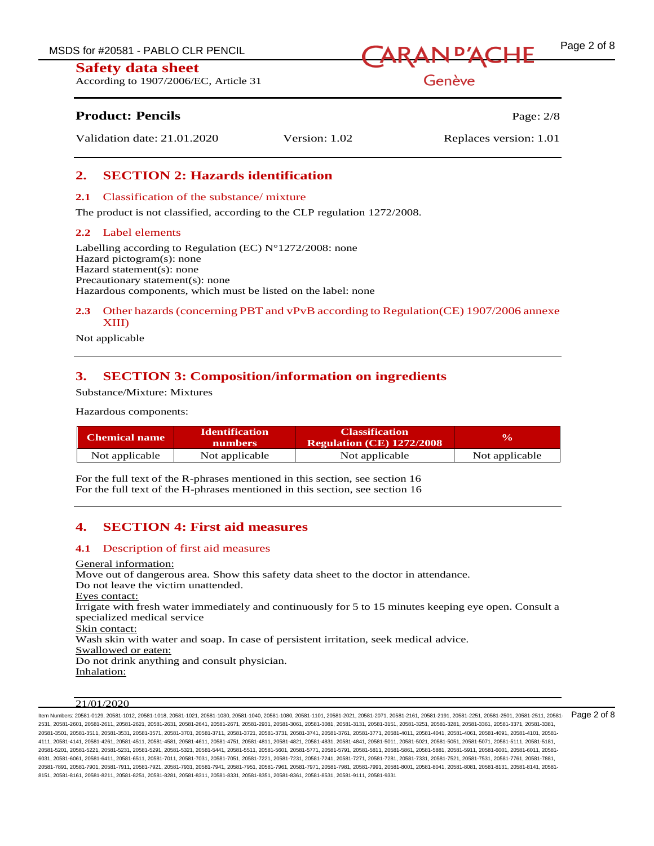According to 1907/2006/EC, Article 31



Genève

# **Product: Pencils Page: 2/8**

Validation date: 21.01.2020 Version: 1.02 Replaces version: 1.01

# **2. SECTION 2: Hazards identification**

#### **2.1** Classification of the substance/ mixture

The product is not classified, according to the CLP regulation 1272/2008.

### **2.2** Label elements

Labelling according to Regulation (EC)  $N^{\circ}1272/2008$ : none Hazard pictogram(s): none Hazard statement(s): none Precautionary statement(s): none Hazardous components, which must be listed on the label: none

# **2.3** Other hazards (concerning PBT and vPvB according to Regulation(CE) 1907/2006 annexe XIII)

Not applicable

# **3. SECTION 3: Composition/information on ingredients**

Substance/Mixture: Mixtures

Hazardous components:

| Chemical name  | <b>Identification</b><br><b>numbers</b> | <b>Classification</b><br><b>Regulation (CE) 1272/2008</b> | $\mathbf{v}_0$ |
|----------------|-----------------------------------------|-----------------------------------------------------------|----------------|
| Not applicable | Not applicable                          | Not applicable                                            | Not applicable |

For the full text of the R-phrases mentioned in this section, see section 16 For the full text of the H-phrases mentioned in this section, see section 16

# **4. SECTION 4: First aid measures**

#### **4.1** Description of first aid measures

General information: Move out of dangerous area. Show this safety data sheet to the doctor in attendance. Do not leave the victim unattended. Eyes contact: Irrigate with fresh water immediately and continuously for 5 to 15 minutes keeping eye open. Consult a specialized medical service Skin contact: Wash skin with water and soap. In case of persistent irritation, seek medical advice. Swallowed or eaten: Do not drink anything and consult physician. Inhalation:

#### $21/01/2020$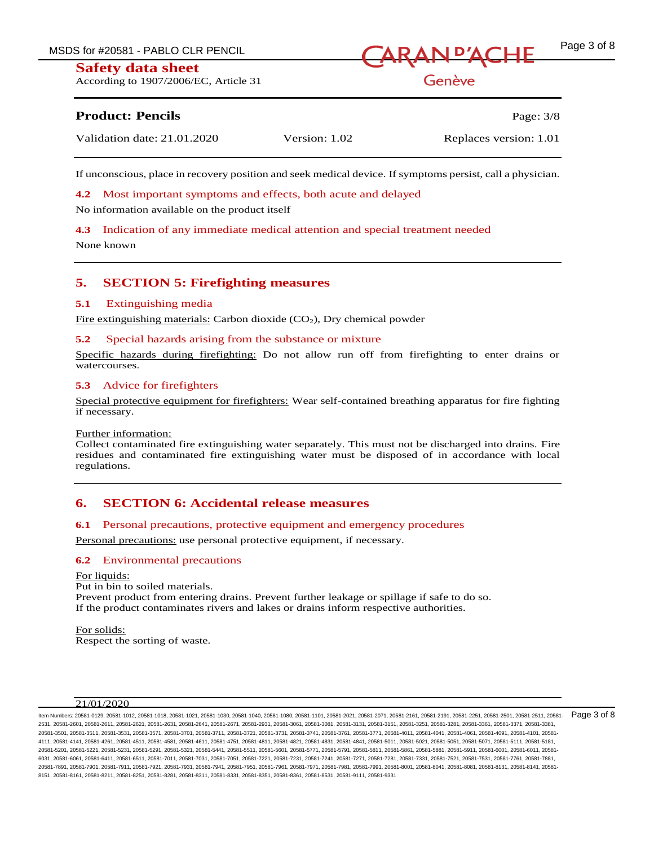According to 1907/2006/EC, Article 31



Genève

# **Product: Pencils** Page: 3/8

| Validation date: 21.01.2020 | Version: 1.02 | Replaces version: 1.01 |
|-----------------------------|---------------|------------------------|
|                             |               |                        |

If unconscious, place in recovery position and seek medical device. If symptoms persist, call a physician.

**4.2** Most important symptoms and effects, both acute and delayed

No information available on the product itself

**4.3** Indication of any immediate medical attention and special treatment needed

None known

# **5. SECTION 5: Firefighting measures**

#### **5.1** Extinguishing media

Fire extinguishing materials: Carbon dioxide (CO2), Dry chemical powder

#### **5.2** Special hazards arising from the substance or mixture

Specific hazards during firefighting: Do not allow run off from firefighting to enter drains or watercourses.

#### **5.3** Advice for firefighters

Special protective equipment for firefighters: Wear self-contained breathing apparatus for fire fighting if necessary.

#### Further information:

Collect contaminated fire extinguishing water separately. This must not be discharged into drains. Fire residues and contaminated fire extinguishing water must be disposed of in accordance with local regulations.

# **6. SECTION 6: Accidental release measures**

#### **6.1** Personal precautions, protective equipment and emergency procedures

Personal precautions: use personal protective equipment, if necessary.

#### **6.2** Environmental precautions

For liquids: Put in bin to soiled materials. Prevent product from entering drains. Prevent further leakage or spillage if safe to do so. If the product contaminates rivers and lakes or drains inform respective authorities.

For solids: Respect the sorting of waste.

#### $21/01/2020$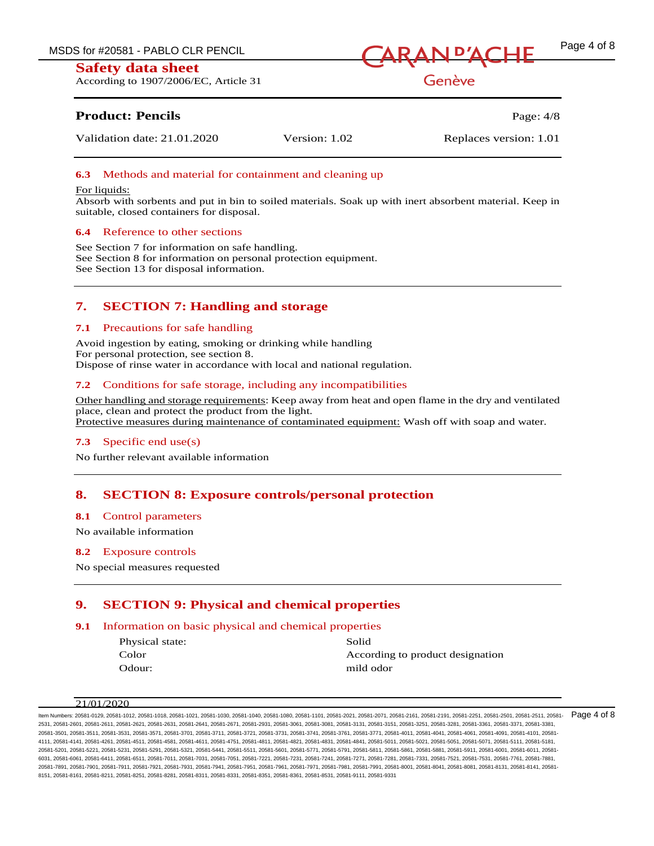According to 1907/2006/EC, Article 31



Genève

# **Product: Pencils** Page: 4/8

Validation date: 21.01.2020 Version: 1.02 Replaces version: 1.01

# **6.3** Methods and material for containment and cleaning up

#### For liquids:

Absorb with sorbents and put in bin to soiled materials. Soak up with inert absorbent material. Keep in suitable, closed containers for disposal.

#### **6.4** Reference to other sections

See Section 7 for information on safe handling. See Section 8 for information on personal protection equipment. See Section 13 for disposal information.

# **7. SECTION 7: Handling and storage**

#### **7.1** Precautions for safe handling

Avoid ingestion by eating, smoking or drinking while handling For personal protection, see section 8. Dispose of rinse water in accordance with local and national regulation.

#### **7.2** Conditions for safe storage, including any incompatibilities

Other handling and storage requirements: Keep away from heat and open flame in the dry and ventilated place, clean and protect the product from the light. Protective measures during maintenance of contaminated equipment: Wash off with soap and water.

#### **7.3** Specific end use(s)

No further relevant available information

# **8. SECTION 8: Exposure controls/personal protection**

#### **8.1** Control parameters

No available information

#### **8.2** Exposure controls

No special measures requested

# **9. SECTION 9: Physical and chemical properties**

### **9.1** Information on basic physical and chemical properties

Physical state: Solid Color According to product designation Odour: mild odor

 $21/01/2020$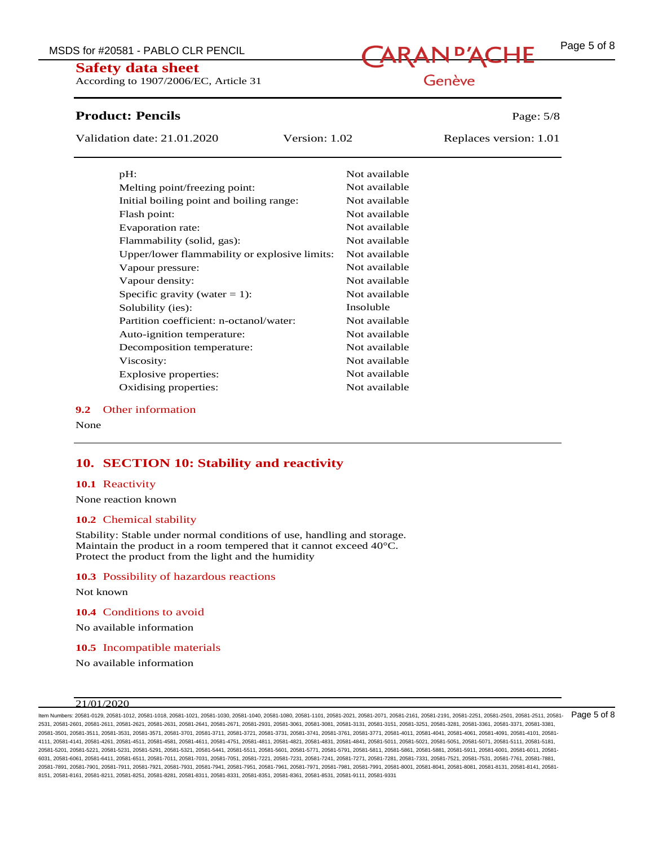According to 1907/2006/EC, Article 31

# **Product: Pencils Page: 5/8**

Validation date: 21.01.2020 Version: 1.02 Replaces version: 1.01

| pH:                                           | Not available |
|-----------------------------------------------|---------------|
| Melting point/freezing point:                 | Not available |
| Initial boiling point and boiling range:      | Not available |
| Flash point:                                  | Not available |
| Evaporation rate:                             | Not available |
| Flammability (solid, gas):                    | Not available |
| Upper/lower flammability or explosive limits: | Not available |
| Vapour pressure:                              | Not available |
| Vapour density:                               | Not available |
| Specific gravity (water $= 1$ ):              | Not available |
| Solubility (ies):                             | Insoluble     |
| Partition coefficient: n-octanol/water:       | Not available |
| Auto-ignition temperature:                    | Not available |
| Decomposition temperature:                    | Not available |
| Viscosity:                                    | Not available |
| Explosive properties:                         | Not available |
| Oxidising properties:                         | Not available |

#### **9.2** Other information

None

# **10. SECTION 10: Stability and reactivity**

#### **10.1** Reactivity

None reaction known

#### **10.2** Chemical stability

Stability: Stable under normal conditions of use, handling and storage. Maintain the product in a room tempered that it cannot exceed 40°C. Protect the product from the light and the humidity

#### **10.3** Possibility of hazardous reactions

Not known

**10.4** Conditions to avoid

No available information

**10.5** Incompatible materials

No available information

#### 21/01/2020

ltem Numbers: 20581-0129, 20581-1012, 20581-1018, 20581-1021, 20581-1030, 20581-1040, 20581-1080, 20581-101, 20581-2021, 20581-2010, 20581-2161, 20581-2251, 20581-2251, 20581-2501, 20581-2511, 20581-2511, 20581-2791, 20581 2531, 20581-2601, 20581-2611, 20581-2621, 20581-2631, 20581-2641, 20581-2671, 20581-2931, 20581-3061, 20581-3081, 20581-3131, 20581-3151, 20581-3251, 20581-3281, 20581-3361, 20581-3371, 20581-3381, 20581-3501, 20581-3511, 20581-3531, 20581-3571, 20581-3701, 20581-3711, 20581-3721, 20581-3731, 20581-3741, 20581-3761, 20581-3771, 20581-4011, 20581-4041, 20581-4061, 20581-4091, 20581-4101, 20581- 4111, 20581-4141, 20581-4261, 20581-4511, 20581-4581, 20581-4611, 20581-4751, 20581-4811, 20581-4821, 20581-4831, 20581-4841, 20581-5011, 20581-5021, 20581-5051, 20581-5071, 20581-5111, 20581-5181, 20581-5201, 20581-5221, 20581-5231, 20581-5291, 20581-5321, 20581-5441, 20581-5511, 20581-5601, 20581-5771, 20581-5791, 20581-5811, 20581-5861, 20581-5881, 20581-5911, 20581-6001, 20581-6011, 20581- 6031, 20581-6061, 20581-6411, 20581-6511, 20581-7011, 20581-7031, 20581-7051, 20581-7221, 20581-7231, 20581-7241, 20581-7271, 20581-7281, 20581-7331, 20581-7521, 20581-7531, 20581-7761, 20581-7881, 20581-7891, 20581-7901, 20581-7911, 20581-7921, 20581-7931, 20581-7941, 20581-7951, 20581-7961, 20581-7971, 20581-7981, 20581-7991, 20581-8001, 20581-8041, 20581-8081, 20581-8131, 20581-8141, 20581- 8151, 20581-8161, 20581-8211, 20581-8251, 20581-8281, 20581-8311, 20581-8331, 20581-8351, 20581-8361, 20581-8531, 20581-9111, 20581-9331

# Genève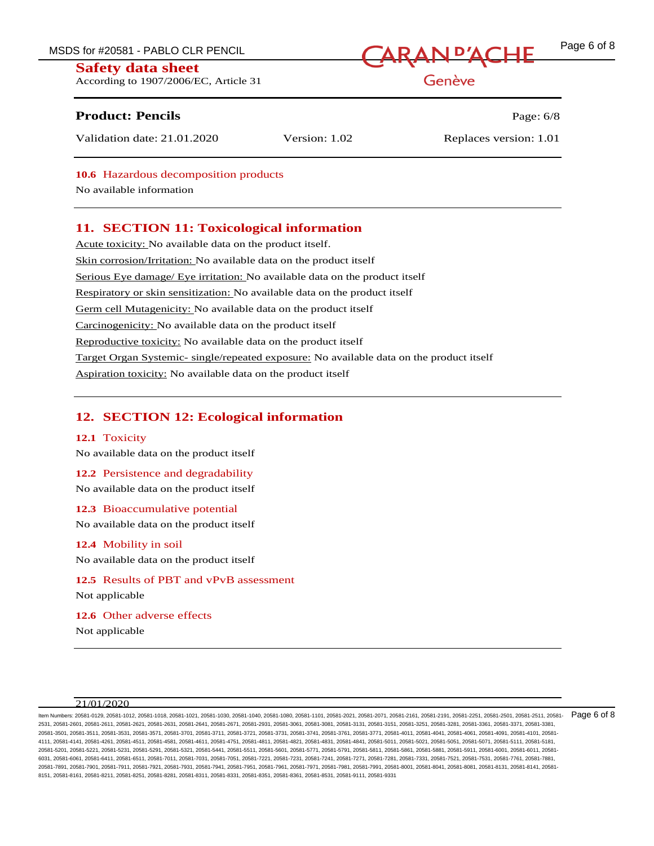MSDS for #20581 - PABLO CLR PENCIL **CARAN D'ACHE** Page 6 of 8

#### **Safety data sheet**

According to 1907/2006/EC, Article 31

# **Product: Pencils Page: 6/8**

Validation date: 21.01.2020 Version: 1.02 Replaces version: 1.01

Genève

**10.6** Hazardous decomposition products

No available information

# **11. SECTION 11: Toxicological information**

Acute toxicity: No available data on the product itself. Skin corrosion/Irritation: No available data on the product itself Serious Eye damage/ Eye irritation: No available data on the product itself Respiratory or skin sensitization: No available data on the product itself Germ cell Mutagenicity: No available data on the product itself Carcinogenicity: No available data on the product itself Reproductive toxicity: No available data on the product itself Target Organ Systemic- single/repeated exposure: No available data on the product itself Aspiration toxicity: No available data on the product itself

# **12. SECTION 12: Ecological information**

#### **12.1** Toxicity

No available data on the product itself

#### **12.2** Persistence and degradability

No available data on the product itself

**12.3** Bioaccumulative potential

No available data on the product itself

# **12.4** Mobility in soil

No available data on the product itself

**12.5** Results of PBT and vPvB assessment Not applicable

**12.6** Other adverse effects Not applicable

#### 21/01/2020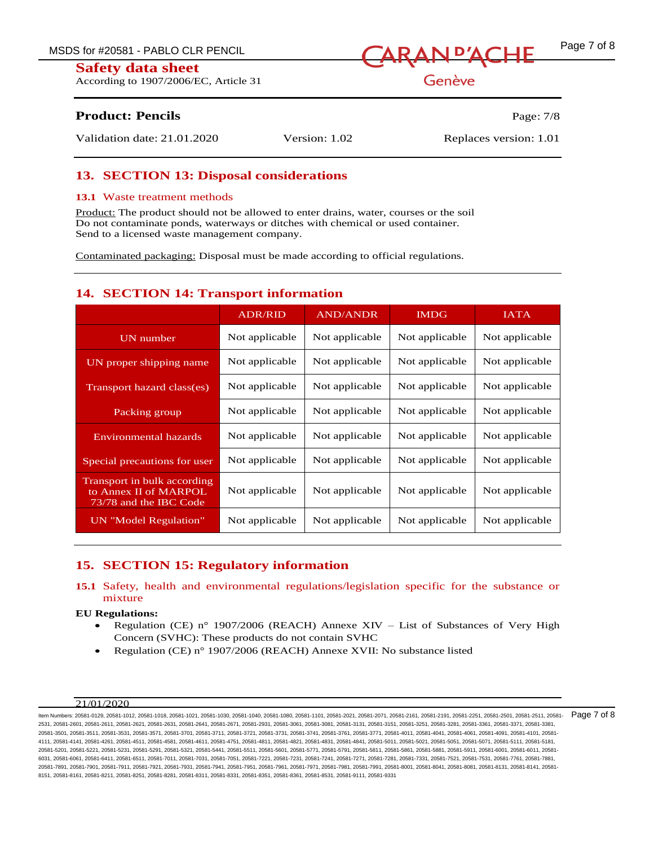According to 1907/2006/EC, Article 31



Genève

# **Product: Pencils** Page: 7/8

Validation date: 21.01.2020 Version: 1.02 Replaces version: 1.01

# **13. SECTION 13: Disposal considerations**

#### **13.1** Waste treatment methods

Product: The product should not be allowed to enter drains, water, courses or the soil Do not contaminate ponds, waterways or ditches with chemical or used container. Send to a licensed waste management company.

Contaminated packaging: Disposal must be made according to official regulations.

# **14. SECTION 14: Transport information**

|                                                                                | <b>ADR/RID</b> | <b>AND/ANDR</b> | <b>IMDG</b>    | <b>IATA</b>    |
|--------------------------------------------------------------------------------|----------------|-----------------|----------------|----------------|
| UN number                                                                      | Not applicable | Not applicable  | Not applicable | Not applicable |
| UN proper shipping name                                                        | Not applicable | Not applicable  | Not applicable | Not applicable |
| Transport hazard class(es)                                                     | Not applicable | Not applicable  | Not applicable | Not applicable |
| Packing group                                                                  | Not applicable | Not applicable  | Not applicable | Not applicable |
| Environmental hazards                                                          | Not applicable | Not applicable  | Not applicable | Not applicable |
| Special precautions for user                                                   | Not applicable | Not applicable  | Not applicable | Not applicable |
| Transport in bulk according<br>to Annex II of MARPOL<br>73/78 and the IBC Code | Not applicable | Not applicable  | Not applicable | Not applicable |
| UN "Model Regulation"                                                          | Not applicable | Not applicable  | Not applicable | Not applicable |

# **15. SECTION 15: Regulatory information**

# **15.1** Safety, health and environmental regulations/legislation specific for the substance or mixture

#### **EU Regulations:**

- Regulation (CE) n° 1907/2006 (REACH) Annexe XIV List of Substances of Very High Concern (SVHC): These products do not contain SVHC
- Regulation (CE) n° 1907/2006 (REACH) Annexe XVII: No substance listed

#### 21/01/2020